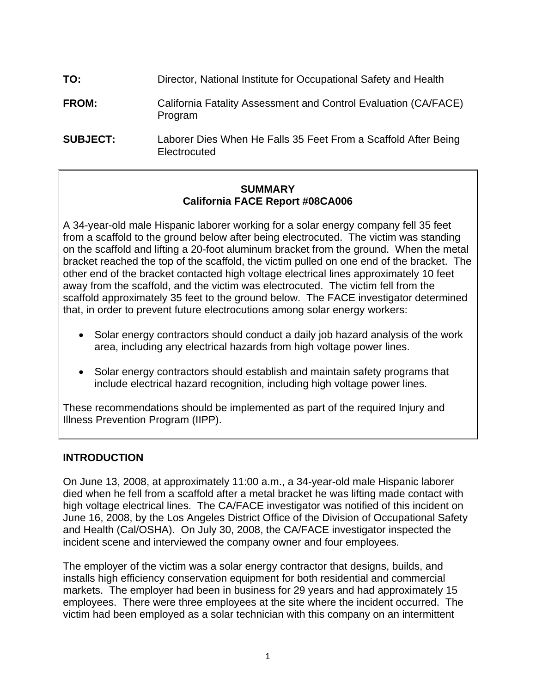| TO:             | Director, National Institute for Occupational Safety and Health                |
|-----------------|--------------------------------------------------------------------------------|
| <b>FROM:</b>    | California Fatality Assessment and Control Evaluation (CA/FACE)<br>Program     |
| <b>SUBJECT:</b> | Laborer Dies When He Falls 35 Feet From a Scaffold After Being<br>Electrocuted |

## **SUMMARY California FACE Report #08CA006**

A 34-year-old male Hispanic laborer working for a solar energy company fell 35 feet from a scaffold to the ground below after being electrocuted. The victim was standing on the scaffold and lifting a 20-foot aluminum bracket from the ground. When the metal bracket reached the top of the scaffold, the victim pulled on one end of the bracket. The other end of the bracket contacted high voltage electrical lines approximately 10 feet away from the scaffold, and the victim was electrocuted. The victim fell from the scaffold approximately 35 feet to the ground below. The FACE investigator determined that, in order to prevent future electrocutions among solar energy workers:

- Solar energy contractors should conduct a daily job hazard analysis of the work area, including any electrical hazards from high voltage power lines.
- Solar energy contractors should establish and maintain safety programs that include electrical hazard recognition, including high voltage power lines.

These recommendations should be implemented as part of the required Injury and Illness Prevention Program (IIPP).

# **INTRODUCTION**

On June 13, 2008, at approximately 11:00 a.m., a 34-year-old male Hispanic laborer died when he fell from a scaffold after a metal bracket he was lifting made contact with high voltage electrical lines. The CA/FACE investigator was notified of this incident on June 16, 2008, by the Los Angeles District Office of the Division of Occupational Safety and Health (Cal/OSHA). On July 30, 2008, the CA/FACE investigator inspected the incident scene and interviewed the company owner and four employees.

The employer of the victim was a solar energy contractor that designs, builds, and installs high efficiency conservation equipment for both residential and commercial markets. The employer had been in business for 29 years and had approximately 15 employees. There were three employees at the site where the incident occurred. The victim had been employed as a solar technician with this company on an intermittent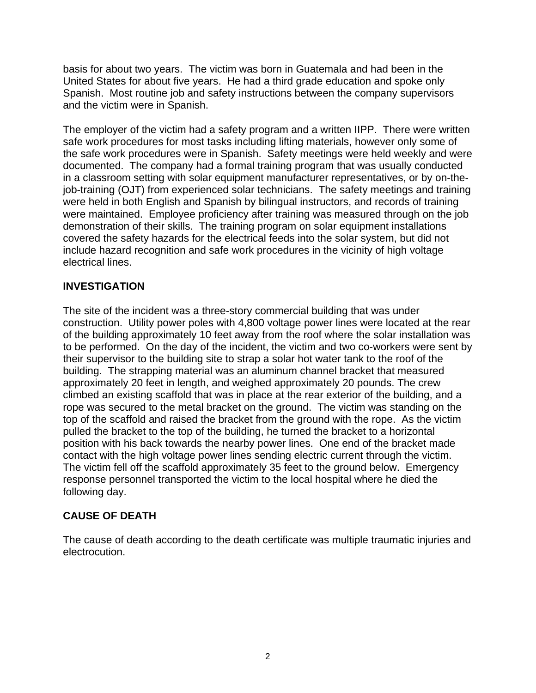basis for about two years. The victim was born in Guatemala and had been in the United States for about five years. He had a third grade education and spoke only Spanish. Most routine job and safety instructions between the company supervisors and the victim were in Spanish.

The employer of the victim had a safety program and a written IIPP. There were written safe work procedures for most tasks including lifting materials, however only some of the safe work procedures were in Spanish. Safety meetings were held weekly and were documented. The company had a formal training program that was usually conducted in a classroom setting with solar equipment manufacturer representatives, or by on-thejob-training (OJT) from experienced solar technicians. The safety meetings and training were held in both English and Spanish by bilingual instructors, and records of training were maintained. Employee proficiency after training was measured through on the job demonstration of their skills. The training program on solar equipment installations covered the safety hazards for the electrical feeds into the solar system, but did not include hazard recognition and safe work procedures in the vicinity of high voltage electrical lines.

# **INVESTIGATION**

The site of the incident was a three-story commercial building that was under construction. Utility power poles with 4,800 voltage power lines were located at the rear of the building approximately 10 feet away from the roof where the solar installation was to be performed. On the day of the incident, the victim and two co-workers were sent by their supervisor to the building site to strap a solar hot water tank to the roof of the building. The strapping material was an aluminum channel bracket that measured approximately 20 feet in length, and weighed approximately 20 pounds. The crew climbed an existing scaffold that was in place at the rear exterior of the building, and a rope was secured to the metal bracket on the ground. The victim was standing on the top of the scaffold and raised the bracket from the ground with the rope. As the victim pulled the bracket to the top of the building, he turned the bracket to a horizontal position with his back towards the nearby power lines. One end of the bracket made contact with the high voltage power lines sending electric current through the victim. The victim fell off the scaffold approximately 35 feet to the ground below. Emergency response personnel transported the victim to the local hospital where he died the following day.

# **CAUSE OF DEATH**

The cause of death according to the death certificate was multiple traumatic injuries and electrocution.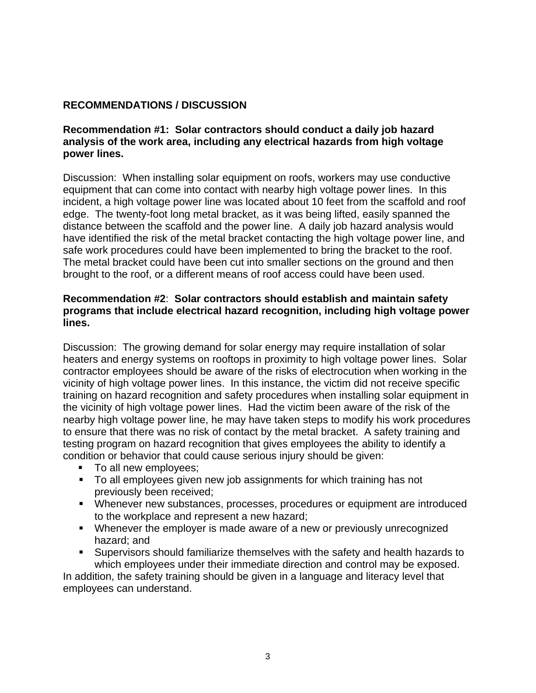# **RECOMMENDATIONS / DISCUSSION**

#### **Recommendation #1: Solar contractors should conduct a daily job hazard analysis of the work area, including any electrical hazards from high voltage power lines.**

Discussion: When installing solar equipment on roofs, workers may use conductive equipment that can come into contact with nearby high voltage power lines. In this incident, a high voltage power line was located about 10 feet from the scaffold and roof edge. The twenty-foot long metal bracket, as it was being lifted, easily spanned the distance between the scaffold and the power line. A daily job hazard analysis would have identified the risk of the metal bracket contacting the high voltage power line, and safe work procedures could have been implemented to bring the bracket to the roof. The metal bracket could have been cut into smaller sections on the ground and then brought to the roof, or a different means of roof access could have been used.

#### **Recommendation #2**: **Solar contractors should establish and maintain safety programs that include electrical hazard recognition, including high voltage power lines.**

Discussion: The growing demand for solar energy may require installation of solar heaters and energy systems on rooftops in proximity to high voltage power lines. Solar contractor employees should be aware of the risks of electrocution when working in the vicinity of high voltage power lines. In this instance, the victim did not receive specific training on hazard recognition and safety procedures when installing solar equipment in the vicinity of high voltage power lines. Had the victim been aware of the risk of the nearby high voltage power line, he may have taken steps to modify his work procedures to ensure that there was no risk of contact by the metal bracket. A safety training and testing program on hazard recognition that gives employees the ability to identify a condition or behavior that could cause serious injury should be given:

- To all new employees;
- To all employees given new job assignments for which training has not previously been received;
- Whenever new substances, processes, procedures or equipment are introduced to the workplace and represent a new hazard;
- Whenever the employer is made aware of a new or previously unrecognized hazard; and
- Supervisors should familiarize themselves with the safety and health hazards to which employees under their immediate direction and control may be exposed.

In addition, the safety training should be given in a language and literacy level that employees can understand.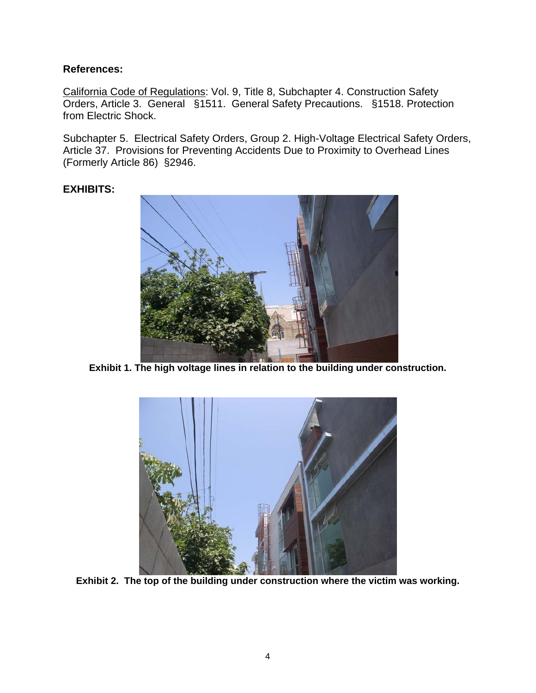## **References:**

California Code of Regulations: Vol. 9, Title 8, Subchapter 4. Construction Safety Orders, Article 3. General §1511. General Safety Precautions. §1518. Protection from Electric Shock.

Subchapter 5. Electrical Safety Orders, Group 2. High-Voltage Electrical Safety Orders, Article 37. Provisions for Preventing Accidents Due to Proximity to Overhead Lines (Formerly Article 86) §2946.

# **EXHIBITS:**



**Exhibit 1. The high voltage lines in relation to the building under construction.** 



**Exhibit 2. The top of the building under construction where the victim was working.**